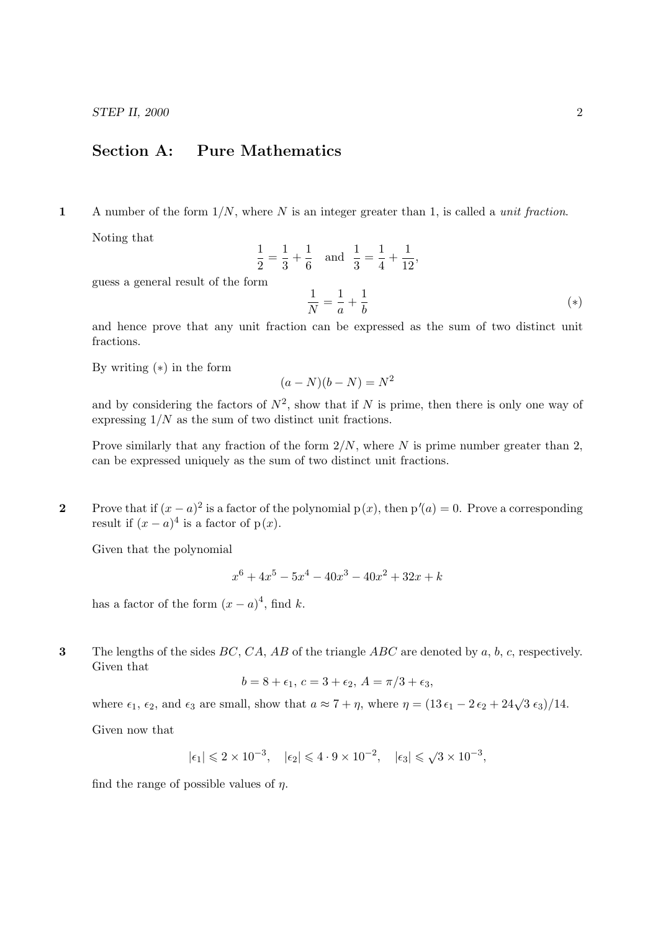# Section A: Pure Mathematics

1 A number of the form  $1/N$ , where N is an integer greater than 1, is called a *unit fraction*.

Noting that

$$
\frac{1}{2} = \frac{1}{3} + \frac{1}{6} \text{ and } \frac{1}{3} = \frac{1}{4} + \frac{1}{12},
$$
  
rm  

$$
\frac{1}{N} = \frac{1}{a} + \frac{1}{b}
$$
 (\*)

guess a general result of the form

and hence prove that any unit fraction can be expressed as the sum of two distinct unit fractions.

By writing  $(*)$  in the form

$$
(a - N)(b - N) = N^2
$$

and by considering the factors of  $N^2$ , show that if N is prime, then there is only one way of expressing  $1/N$  as the sum of two distinct unit fractions.

Prove similarly that any fraction of the form  $2/N$ , where N is prime number greater than 2, can be expressed uniquely as the sum of two distinct unit fractions.

**2** Prove that if  $(x - a)^2$  is a factor of the polynomial  $p(x)$ , then  $p'(a) = 0$ . Prove a corresponding result if  $(x - a)^4$  is a factor of  $p(x)$ .

Given that the polynomial

$$
x^{6} + 4x^{5} - 5x^{4} - 40x^{3} - 40x^{2} + 32x + k
$$

has a factor of the form  $(x-a)^4$ , find k.

3 The lengths of the sides  $BC, CA, AB$  of the triangle  $ABC$  are denoted by a, b, c, respectively. Given that

$$
b = 8 + \epsilon_1, \ c = 3 + \epsilon_2, \ A = \pi/3 + \epsilon_3,
$$

where  $\epsilon_1$ ,  $\epsilon_2$ , and  $\epsilon_3$  are small, show that  $a \approx 7 + \eta$ , where  $\eta = (13 \epsilon_1 - 2 \epsilon_2 + 24 \sqrt{3} \epsilon_3)/14$ .

Given now that

$$
|\epsilon_1| \leqslant 2 \times 10^{-3}, \quad |\epsilon_2| \leqslant 4 \cdot 9 \times 10^{-2}, \quad |\epsilon_3| \leqslant \sqrt{3} \times 10^{-3},
$$

find the range of possible values of  $\eta$ .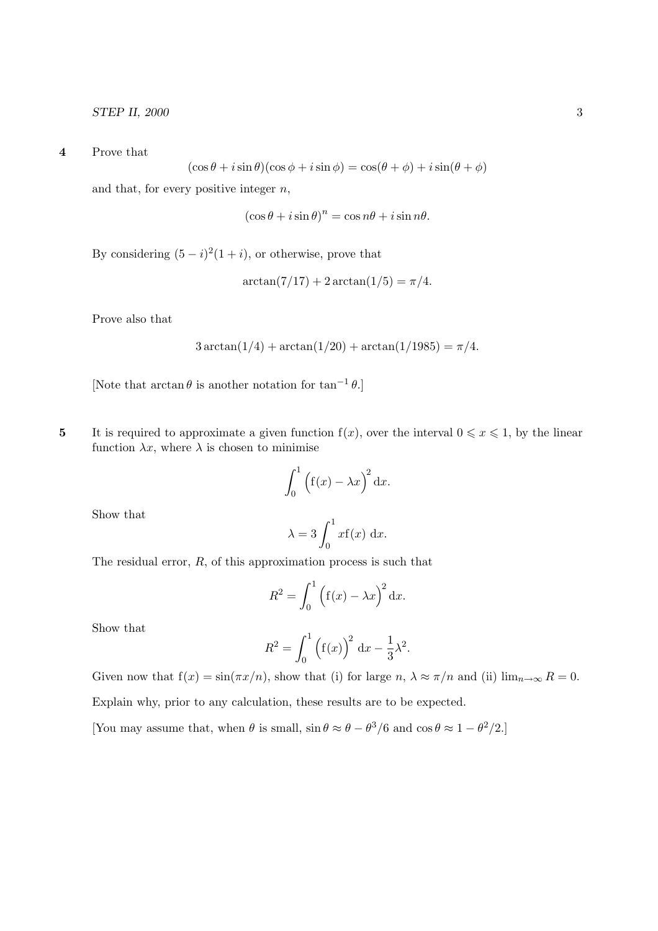4 Prove that

$$
(\cos\theta + i\sin\theta)(\cos\phi + i\sin\phi) = \cos(\theta + \phi) + i\sin(\theta + \phi)
$$

and that, for every positive integer  $n$ ,

$$
(\cos\theta + i\sin\theta)^n = \cos n\theta + i\sin n\theta.
$$

By considering  $(5 - i)^2 (1 + i)$ , or otherwise, prove that

$$
\arctan(7/17) + 2\arctan(1/5) = \pi/4.
$$

Prove also that

$$
3\arctan(1/4) + \arctan(1/20) + \arctan(1/1985) = \pi/4.
$$

[Note that  $\arctan \theta$  is another notation for  $\tan^{-1} \theta$ .]

5 It is required to approximate a given function  $f(x)$ , over the interval  $0 \le x \le 1$ , by the linear function  $\lambda x$ , where  $\lambda$  is chosen to minimise

$$
\int_0^1 (f(x) - \lambda x)^2 dx.
$$

Show that

$$
\lambda = 3 \int_0^1 x f(x) \, dx.
$$

The residual error,  $R$ , of this approximation process is such that

$$
R^2 = \int_0^1 (f(x) - \lambda x)^2 dx.
$$

Show that

$$
R^{2} = \int_{0}^{1} (f(x))^{2} dx - \frac{1}{3} \lambda^{2}.
$$

Given now that  $f(x) = \sin(\pi x/n)$ , show that (i) for large  $n, \lambda \approx \pi/n$  and (ii)  $\lim_{n\to\infty} R = 0$ . Explain why, prior to any calculation, these results are to be expected.

[You may assume that, when  $\theta$  is small,  $\sin \theta \approx \theta - \theta^3/6$  and  $\cos \theta \approx 1 - \theta^2/2$ .]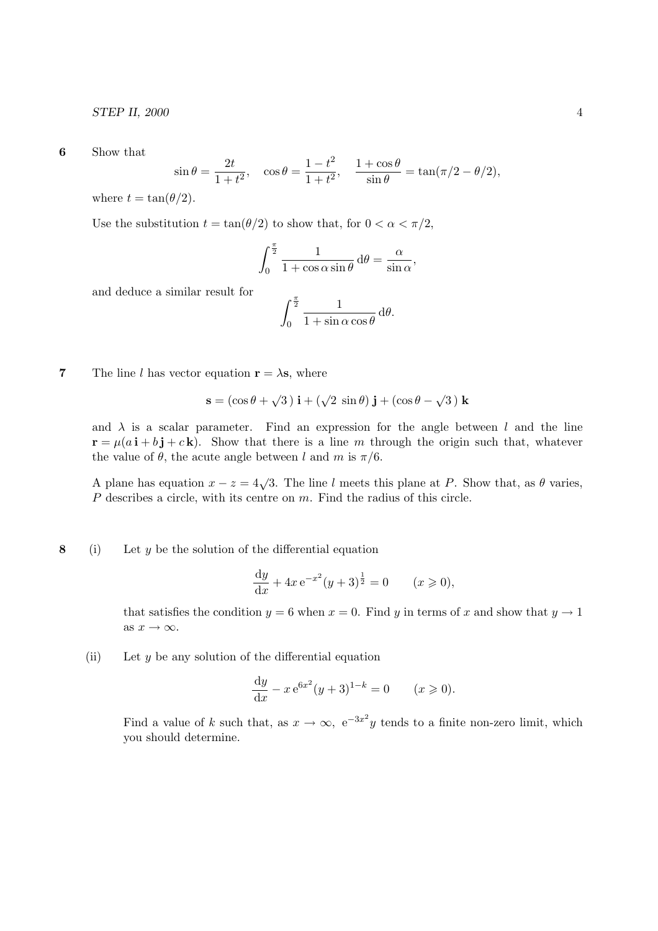STEP II, 2000 4

6 Show that

$$
\sin \theta = \frac{2t}{1+t^2}
$$
,  $\cos \theta = \frac{1-t^2}{1+t^2}$ ,  $\frac{1+\cos \theta}{\sin \theta} = \tan(\pi/2 - \theta/2)$ ,

where  $t = \tan(\theta/2)$ .

Use the substitution  $t = \tan(\theta/2)$  to show that, for  $0 < \alpha < \pi/2$ ,

$$
\int_0^{\frac{\pi}{2}} \frac{1}{1 + \cos \alpha \sin \theta} \, d\theta = \frac{\alpha}{\sin \alpha},
$$

and deduce a similar result for

$$
\int_0^{\frac{\pi}{2}} \frac{1}{1 + \sin \alpha \cos \theta} \, d\theta.
$$

**7** The line l has vector equation  $\mathbf{r} = \lambda \mathbf{s}$ , where

$$
\mathbf{s} = (\cos \theta + \sqrt{3}) \mathbf{i} + (\sqrt{2} \sin \theta) \mathbf{j} + (\cos \theta - \sqrt{3}) \mathbf{k}
$$

and  $\lambda$  is a scalar parameter. Find an expression for the angle between l and the line  $\mathbf{r} = \mu(a\,\mathbf{i} + b\,\mathbf{j} + c\,\mathbf{k})$ . Show that there is a line m through the origin such that, whatever the value of  $\theta$ , the acute angle between l and m is  $\pi/6$ .

A plane has equation  $x - z = 4\sqrt{3}$ . The line l meets this plane at P. Show that, as  $\theta$  varies, P describes a circle, with its centre on m. Find the radius of this circle.

#### 8 (i) Let  $y$  be the solution of the differential equation

$$
\frac{dy}{dx} + 4x e^{-x^2} (y+3)^{\frac{1}{2}} = 0 \t (x \ge 0),
$$

that satisfies the condition  $y = 6$  when  $x = 0$ . Find y in terms of x and show that  $y \to 1$ as  $x \to \infty$ .

(ii) Let  $y$  be any solution of the differential equation

$$
\frac{dy}{dx} - x e^{6x^2} (y+3)^{1-k} = 0 \t (x \ge 0).
$$

Find a value of k such that, as  $x \to \infty$ ,  $e^{-3x^2}y$  tends to a finite non-zero limit, which you should determine.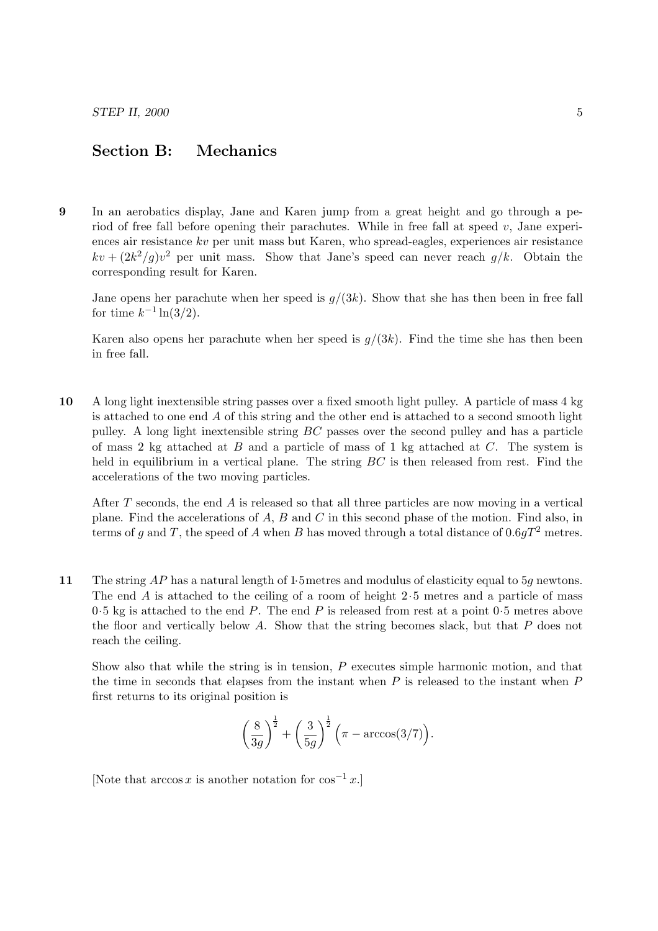## Section B: Mechanics

9 In an aerobatics display, Jane and Karen jump from a great height and go through a period of free fall before opening their parachutes. While in free fall at speed  $v$ , Jane experiences air resistance kv per unit mass but Karen, who spread-eagles, experiences air resistance  $kv + (2k^2/g)v^2$  per unit mass. Show that Jane's speed can never reach  $g/k$ . Obtain the corresponding result for Karen.

Jane opens her parachute when her speed is  $q/(3k)$ . Show that she has then been in free fall for time  $k^{-1} \ln(3/2)$ .

Karen also opens her parachute when her speed is  $g/(3k)$ . Find the time she has then been in free fall.

10 A long light inextensible string passes over a fixed smooth light pulley. A particle of mass 4 kg is attached to one end A of this string and the other end is attached to a second smooth light pulley. A long light inextensible string BC passes over the second pulley and has a particle of mass 2 kg attached at  $B$  and a particle of mass of 1 kg attached at  $C$ . The system is held in equilibrium in a vertical plane. The string  $BC$  is then released from rest. Find the accelerations of the two moving particles.

After  $T$  seconds, the end  $A$  is released so that all three particles are now moving in a vertical plane. Find the accelerations of A, B and C in this second phase of the motion. Find also, in terms of g and T, the speed of A when B has moved through a total distance of  $0.6gT^2$  metres.

11 The string AP has a natural length of 1.5 metres and modulus of elasticity equal to 5g newtons. The end  $\tilde{A}$  is attached to the ceiling of a room of height 2.5 metres and a particle of mass  $0.5$  kg is attached to the end P. The end P is released from rest at a point  $0.5$  metres above the floor and vertically below A. Show that the string becomes slack, but that  $P$  does not reach the ceiling.

Show also that while the string is in tension, P executes simple harmonic motion, and that the time in seconds that elapses from the instant when  $P$  is released to the instant when  $P$ first returns to its original position is

$$
\left(\frac{8}{3g}\right)^{\!\!\frac{1}{2}} + \left(\frac{3}{5g}\right)^{\!\!\frac{1}{2}} \Big(\pi - \arccos(3/7)\Big).
$$

[Note that  $\arccos x$  is another notation for  $\cos^{-1} x$ .]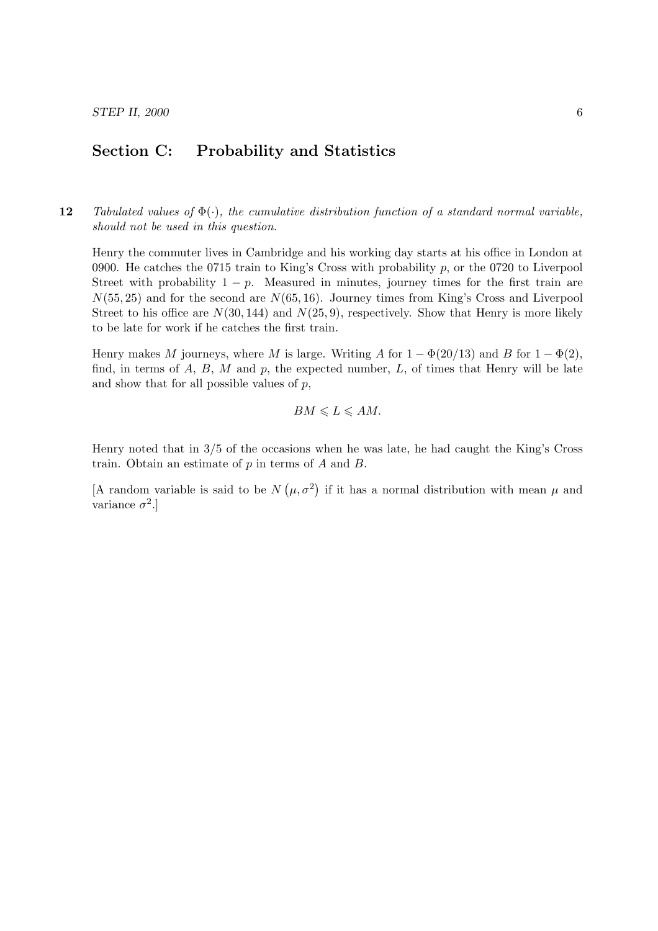### Section C: Probability and Statistics

12 Tabulated values of  $\Phi(\cdot)$ , the cumulative distribution function of a standard normal variable, should not be used in this question.

Henry the commuter lives in Cambridge and his working day starts at his office in London at 0900. He catches the 0715 train to King's Cross with probability  $p$ , or the 0720 to Liverpool Street with probability  $1 - p$ . Measured in minutes, journey times for the first train are  $N(55, 25)$  and for the second are  $N(65, 16)$ . Journey times from King's Cross and Liverpool Street to his office are  $N(30, 144)$  and  $N(25, 9)$ , respectively. Show that Henry is more likely to be late for work if he catches the first train.

Henry makes M journeys, where M is large. Writing A for  $1 - \Phi(20/13)$  and B for  $1 - \Phi(2)$ , find, in terms of  $A, B, M$  and  $p$ , the expected number,  $L$ , of times that Henry will be late and show that for all possible values of  $p$ ,

$$
BM \leqslant L \leqslant AM.
$$

Henry noted that in 3/5 of the occasions when he was late, he had caught the King's Cross train. Obtain an estimate of p in terms of A and B.

[A random variable is said to be N  $(\mu, \sigma^2)$ if it has a normal distribution with mean  $\mu$  and variance  $\sigma^2$ .